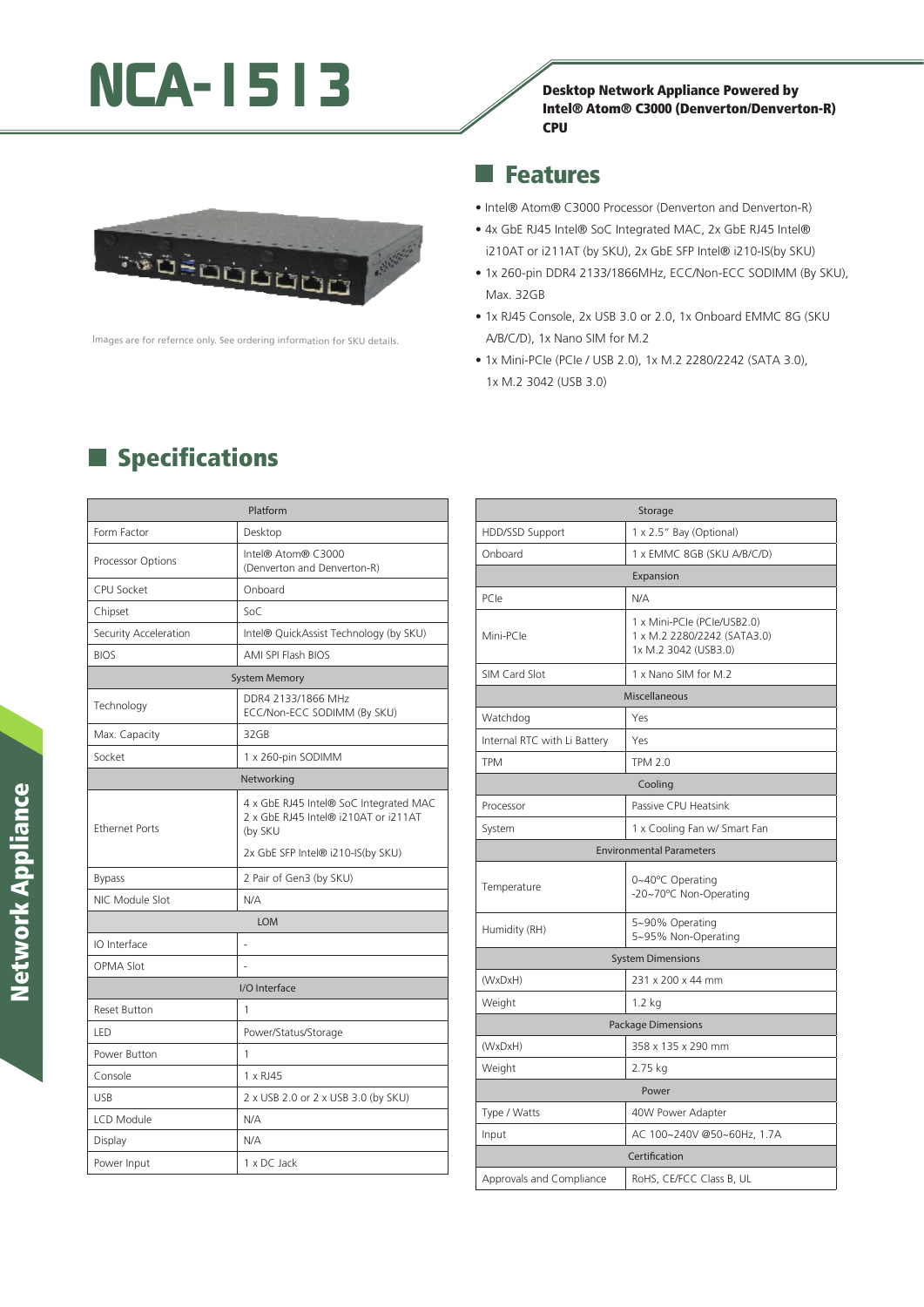# NCA-1513 Desktop Network Appliance Powered by





lmages are for refernce only. See ordering information for SKU details.

#### Features a,

- Intel® Atom® C3000 Processor (Denverton and Denverton-R)
- 4x GbE RJ45 Intel® SoC Integrated MAC, 2x GbE RJ45 Intel® i210AT or i211AT (by SKU), 2x GbE SFP Intel® i210-IS(by SKU)
- 1x 260-pin DDR4 2133/1866MHz, ECC/Non-ECC SODIMM (By SKU), Max. 32GB
- 1x RJ45 Console, 2x USB 3.0 or 2.0, 1x Onboard EMMC 8G (SKU A/B/C/D), 1x Nano SIM for M.2
- 1x Mini-PCIe (PCIe / USB 2.0), 1x M.2 2280/2242 (SATA 3.0), 1x M.2 3042 (USB 3.0)

| Platform              |                                                                                           |  |
|-----------------------|-------------------------------------------------------------------------------------------|--|
| Form Factor           | Desktop                                                                                   |  |
| Processor Options     | Intel® Atom® C3000<br>(Denverton and Denverton-R)                                         |  |
| <b>CPU Socket</b>     | Onboard                                                                                   |  |
| Chipset               | Soc                                                                                       |  |
| Security Acceleration | Intel® QuickAssist Technology (by SKU)                                                    |  |
| <b>BIOS</b>           | AMI SPI Flash BIOS                                                                        |  |
|                       | <b>System Memory</b>                                                                      |  |
| Technology            | DDR4 2133/1866 MHz<br>ECC/Non-ECC SODIMM (By SKU)                                         |  |
| Max. Capacity         | 32GB                                                                                      |  |
| Socket                | 1 x 260-pin SODIMM                                                                        |  |
|                       | Networking                                                                                |  |
| <b>Ethernet Ports</b> | 4 x GbE RJ45 Intel® SoC Integrated MAC<br>2 x GbE RJ45 Intel® i210AT or i211AT<br>(by SKU |  |
|                       | 2x GbE SFP Intel® i210-IS(by SKU)                                                         |  |
| <b>Bypass</b>         | 2 Pair of Gen3 (by SKU)                                                                   |  |
| NIC Module Slot       | N/A                                                                                       |  |
|                       | LOM                                                                                       |  |
| IO Interface          |                                                                                           |  |
| <b>OPMA Slot</b>      |                                                                                           |  |
|                       | I/O Interface                                                                             |  |
| <b>Reset Button</b>   | 1                                                                                         |  |
| LED                   | Power/Status/Storage                                                                      |  |
| Power Button          | 1                                                                                         |  |
| Console               | 1 x RJ45                                                                                  |  |
| <b>USB</b>            | 2 x USB 2.0 or 2 x USB 3.0 (by SKU)                                                       |  |
| LCD Module            | N/A                                                                                       |  |
| Display               | N/A                                                                                       |  |
| Power Input           | 1 x DC Jack                                                                               |  |

# $\blacksquare$  Specifications

|                              | Storage                                                                            |  |
|------------------------------|------------------------------------------------------------------------------------|--|
| HDD/SSD Support              | 1 x 2.5" Bay (Optional)                                                            |  |
| Onboard                      | 1 x EMMC 8GB (SKU A/B/C/D)                                                         |  |
|                              | Expansion                                                                          |  |
| PCIe                         | N/A                                                                                |  |
| Mini-PCle                    | 1 x Mini-PCle (PCle/USB2.0)<br>1 x M.2 2280/2242 (SATA3.0)<br>1x M.2 3042 (USB3.0) |  |
| SIM Card Slot                | 1 x Nano SIM for M.2                                                               |  |
| Miscellaneous                |                                                                                    |  |
| Watchdog                     | Yes                                                                                |  |
| Internal RTC with Li Battery | Yes                                                                                |  |
| <b>TPM</b>                   | <b>TPM 2.0</b>                                                                     |  |
| Cooling                      |                                                                                    |  |
| Processor                    | Passive CPU Heatsink                                                               |  |
| System                       | 1 x Cooling Fan w/ Smart Fan                                                       |  |
|                              | <b>Environmental Parameters</b>                                                    |  |
| Temperature                  | 0~40°C Operating<br>-20~70°C Non-Operating                                         |  |
| Humidity (RH)                | 5~90% Operating<br>5~95% Non-Operating                                             |  |
| <b>System Dimensions</b>     |                                                                                    |  |
| (WxDxH)                      | 231 x 200 x 44 mm                                                                  |  |
| Weight                       | $1.2$ kg                                                                           |  |
| <b>Package Dimensions</b>    |                                                                                    |  |
| (WxDxH)                      | 358 x 135 x 290 mm                                                                 |  |
| Weight                       | 2.75 kg                                                                            |  |
|                              | Power                                                                              |  |
| Type / Watts                 | 40W Power Adapter                                                                  |  |
| Input                        | AC 100~240V @50~60Hz, 1.7A                                                         |  |
|                              | Certification                                                                      |  |
| Approvals and Compliance     | RoHS, CE/FCC Class B, UL                                                           |  |